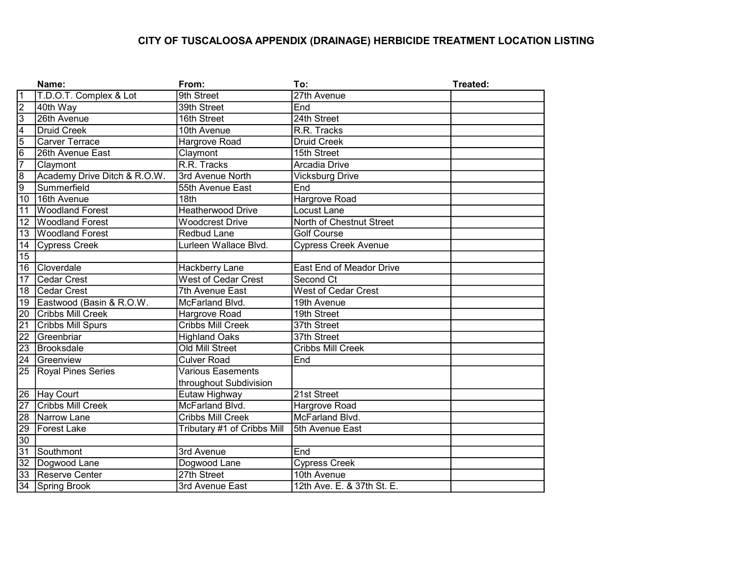# CITY OF TUSCALOOSA APPENDIX (DRAINAGE) HERBICIDE TREATMENT LOCATION LISTING

|                    | Name:                        | From:                       | To:                         | Treated: |
|--------------------|------------------------------|-----------------------------|-----------------------------|----------|
| $\overline{1}$     | T.D.O.T. Complex & Lot       | 9th Street                  | 27th Avenue                 |          |
| $\overline{2}$     | 40th Way                     | 39th Street                 | End                         |          |
| $\overline{3}$     | 26th Avenue                  | 16th Street                 | 24th Street                 |          |
| $\frac{4}{6}$      | <b>Druid Creek</b>           | 10th Avenue                 | R.R. Tracks                 |          |
|                    | <b>Carver Terrace</b>        | Hargrove Road               | <b>Druid Creek</b>          |          |
|                    | 26th Avenue East             | Claymont                    | 15th Street                 |          |
| $\overline{7}$     | Claymont                     | R.R. Tracks                 | Arcadia Drive               |          |
| $\frac{1}{\infty}$ | Academy Drive Ditch & R.O.W. | 3rd Avenue North            | <b>Vicksburg Drive</b>      |          |
|                    | Summerfield                  | 55th Avenue East            | End                         |          |
| $\overline{10}$    | 16th Avenue                  | 18th                        | Hargrove Road               |          |
| $\overline{11}$    | <b>Woodland Forest</b>       | Heatherwood Drive           | Locust Lane                 |          |
| $\overline{12}$    | Woodland Forest              | <b>Woodcrest Drive</b>      | North of Chestnut Street    |          |
| $\overline{13}$    | Woodland Forest              | Redbud Lane                 | <b>Golf Course</b>          |          |
| 14                 | Cypress Creek                | Lurleen Wallace Blvd.       | <b>Cypress Creek Avenue</b> |          |
| $\overline{15}$    |                              |                             |                             |          |
| $\overline{16}$    | Cloverdale                   | Hackberry Lane              | East End of Meador Drive    |          |
| $\overline{17}$    | <b>Cedar Crest</b>           | West of Cedar Crest         | Second Ct                   |          |
| $\overline{18}$    | Cedar Crest                  | 7th Avenue East             | <b>West of Cedar Crest</b>  |          |
| 19                 | Eastwood (Basin & R.O.W.     | McFarland Blvd.             | 19th Avenue                 |          |
| $\overline{20}$    | <b>Cribbs Mill Creek</b>     | <b>Hargrove Road</b>        | 19th Street                 |          |
| $\overline{21}$    | <b>Cribbs Mill Spurs</b>     | <b>Cribbs Mill Creek</b>    | 37th Street                 |          |
| $\overline{22}$    | Greenbriar                   | <b>Highland Oaks</b>        | 37th Street                 |          |
| $\overline{23}$    | Brooksdale                   | <b>Old Mill Street</b>      | <b>Cribbs Mill Creek</b>    |          |
|                    | 24 Greenview                 | <b>Culver Road</b>          | End                         |          |
| $\overline{25}$    | <b>Royal Pines Series</b>    | <b>Various Easements</b>    |                             |          |
|                    |                              | throughout Subdivision      |                             |          |
| $\overline{26}$    | Hay Court                    | Eutaw Highway               | 21st Street                 |          |
| $\overline{27}$    | <b>Cribbs Mill Creek</b>     | McFarland Blvd.             | Hargrove Road               |          |
| $\overline{28}$    | Narrow Lane                  | Cribbs Mill Creek           | McFarland Blvd.             |          |
| 29                 | Forest Lake                  | Tributary #1 of Cribbs Mill | 5th Avenue East             |          |
| $\overline{30}$    |                              |                             |                             |          |
| $\overline{31}$    | Southmont                    | 3rd Avenue                  | End                         |          |
| $\overline{32}$    | Dogwood Lane                 | Dogwood Lane                | <b>Cypress Creek</b>        |          |
| $\overline{33}$    | Reserve Center               | 27th Street                 | 10th Avenue                 |          |
|                    | 34 Spring Brook              | 3rd Avenue East             | 12th Ave. E. & 37th St. E.  |          |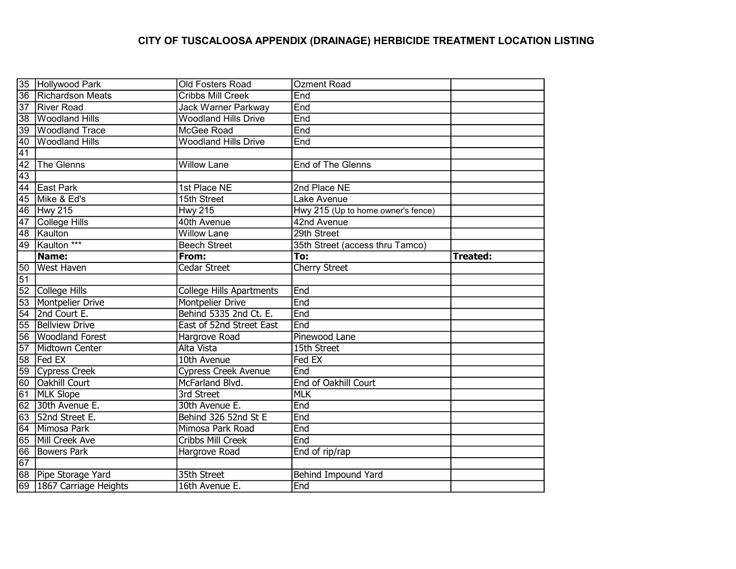# CITY OF TUSCALOOSA APPENDIX (DRAINAGE) HERBICIDE TREATMENT LOCATION LISTING

|                 | 35 Hollywood Park        | Old Fosters Road                | <b>Ozment Road</b>                 |                 |
|-----------------|--------------------------|---------------------------------|------------------------------------|-----------------|
|                 | 36 Richardson Meats      | <b>Cribbs Mill Creek</b>        | End                                |                 |
| $\overline{37}$ | <b>River Road</b>        | <b>Jack Warner Parkway</b>      | End                                |                 |
| $\overline{38}$ | <b>Woodland Hills</b>    | <b>Woodland Hills Drive</b>     | End                                |                 |
| $\overline{39}$ | <b>Woodland Trace</b>    | McGee Road                      | End                                |                 |
| 40              | <b>Woodland Hills</b>    | <b>Woodland Hills Drive</b>     | End                                |                 |
| 41              |                          |                                 |                                    |                 |
| $\overline{42}$ | The Glenns               | <b>Willow Lane</b>              | End of The Glenns                  |                 |
| $\overline{43}$ |                          |                                 |                                    |                 |
| 44              | East Park                | 1st Place NE                    | 2nd Place NE                       |                 |
| 45              | Mike & Ed's              | 15th Street                     | Lake Avenue                        |                 |
|                 | 46 Hwy 215               | <b>Hwy 215</b>                  | Hwy 215 (Up to home owner's fence) |                 |
| 47              | College Hills            | 40th Avenue                     | 42nd Avenue                        |                 |
| 48              | Kaulton                  | <b>Willow Lane</b>              | 29th Street                        |                 |
| $\overline{49}$ | Kaulton ***              | <b>Beech Street</b>             | 35th Street (access thru Tamco)    |                 |
|                 | Name:                    | From:                           | To:                                | <b>Treated:</b> |
| 50              | <b>West Haven</b>        | Cedar Street                    | Cherry Street                      |                 |
| $\overline{51}$ |                          |                                 |                                    |                 |
|                 | 52 College Hills         | <b>College Hills Apartments</b> | End                                |                 |
|                 | 53 Montpelier Drive      | <b>Montpelier Drive</b>         | End                                |                 |
| $\overline{54}$ | 2nd Court E.             | Behind 5335 2nd Ct. E.          | End                                |                 |
| $\overline{55}$ | <b>Bellview Drive</b>    | East of 52nd Street East        | End                                |                 |
|                 | 56 Woodland Forest       | Hargrove Road                   | Pinewood Lane                      |                 |
| $\overline{57}$ | Midtown Center           | <b>Alta Vista</b>               | 15th Street                        |                 |
| $\overline{58}$ | <b>Fed EX</b>            | 10th Avenue                     | Fed EX                             |                 |
| $\overline{59}$ | Cypress Creek            | <b>Cypress Creek Avenue</b>     | End                                |                 |
| 60              | <b>Oakhill Court</b>     | McFarland Blvd.                 | End of Oakhill Court               |                 |
| 61              | <b>MLK Slope</b>         | 3rd Street                      | <b>MLK</b>                         |                 |
| $\overline{62}$ | 30th Avenue E.           | 30th Avenue E.                  | End                                |                 |
| 63              | 52nd Street E.           | Behind 326 52nd St E            | End                                |                 |
| 64              | Mimosa Park              | Mimosa Park Road                | End                                |                 |
| 65              | Mill Creek Ave           | Cribbs Mill Creek               | End                                |                 |
| 66              | <b>Bowers Park</b>       | Hargrove Road                   | End of rip/rap                     |                 |
| 67              |                          |                                 |                                    |                 |
|                 | 68 Pipe Storage Yard     | 35th Street                     | <b>Behind Impound Yard</b>         |                 |
|                 | 69 1867 Carriage Heights | 16th Avenue E.                  | End                                |                 |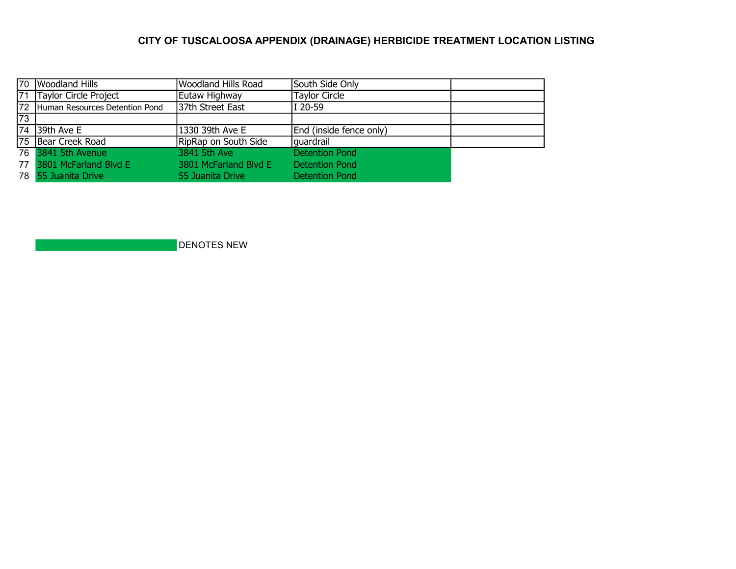# CITY OF TUSCALOOSA APPENDIX (DRAINAGE) HERBICIDE TREATMENT LOCATION LISTING

|    | 70 Woodland Hills                 | Woodland Hills Road   | South Side Only         |  |
|----|-----------------------------------|-----------------------|-------------------------|--|
|    | 71 Taylor Circle Project          | Eutaw Highway         | <b>Taylor Circle</b>    |  |
|    | 72 Human Resources Detention Pond | 37th Street East      | I 20-59                 |  |
| 73 |                                   |                       |                         |  |
|    | $\sqrt{74}$ 39th Ave E            | 1330 39th Ave E       | End (inside fence only) |  |
|    | 75 Bear Creek Road                | RipRap on South Side  | guardrail               |  |
|    | 76 3841 5th Avenue                | 3841 5th Ave          | <b>Detention Pond</b>   |  |
|    | 77 3801 McFarland Blvd E          | 3801 McFarland Blyd E | <b>Detention Pond</b>   |  |
|    | 78 55 Juanita Drive               | 55 Juanita Drive      | Detention Pond          |  |

DENOTES NEW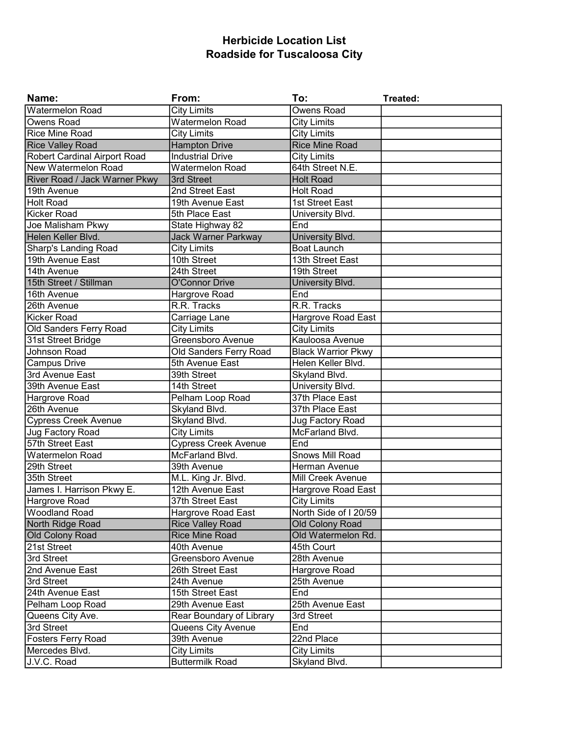## Herbicide Location List Roadside for Tuscaloosa City

| Name:                               | From:                       | To:                       | Treated: |
|-------------------------------------|-----------------------------|---------------------------|----------|
| <b>Watermelon Road</b>              | <b>City Limits</b>          | <b>Owens Road</b>         |          |
| <b>Owens Road</b>                   | <b>Watermelon Road</b>      | <b>City Limits</b>        |          |
| <b>Rice Mine Road</b>               | <b>City Limits</b>          | <b>City Limits</b>        |          |
| <b>Rice Valley Road</b>             | <b>Hampton Drive</b>        | <b>Rice Mine Road</b>     |          |
| <b>Robert Cardinal Airport Road</b> | <b>Industrial Drive</b>     | <b>City Limits</b>        |          |
| New Watermelon Road                 | <b>Watermelon Road</b>      | 64th Street N.E.          |          |
| River Road / Jack Warner Pkwy       | 3rd Street                  | <b>Holt Road</b>          |          |
| 19th Avenue                         | 2nd Street East             | <b>Holt Road</b>          |          |
| <b>Holt Road</b>                    | 19th Avenue East            | 1st Street East           |          |
| <b>Kicker Road</b>                  | 5th Place East              | University Blvd.          |          |
| Joe Malisham Pkwy                   | State Highway 82            | End                       |          |
| Helen Keller Blvd.                  | Jack Warner Parkway         | University Blvd.          |          |
| Sharp's Landing Road                | <b>City Limits</b>          | <b>Boat Launch</b>        |          |
| 19th Avenue East                    | 10th Street                 | 13th Street East          |          |
| 14th Avenue                         | 24th Street                 | 19th Street               |          |
| 15th Street / Stillman              | O'Connor Drive              | University Blvd.          |          |
| 16th Avenue                         | Hargrove Road               | End                       |          |
| 26th Avenue                         | R.R. Tracks                 | R.R. Tracks               |          |
| Kicker Road                         | Carriage Lane               | Hargrove Road East        |          |
| Old Sanders Ferry Road              | <b>City Limits</b>          | <b>City Limits</b>        |          |
| 31st Street Bridge                  | Greensboro Avenue           | Kauloosa Avenue           |          |
| Johnson Road                        | Old Sanders Ferry Road      | <b>Black Warrior Pkwy</b> |          |
| <b>Campus Drive</b>                 | 5th Avenue East             | Helen Keller Blvd.        |          |
| 3rd Avenue East                     | 39th Street                 | Skyland Blvd.             |          |
| 39th Avenue East                    | 14th Street                 | University Blvd.          |          |
| Hargrove Road                       | Pelham Loop Road            | 37th Place East           |          |
| 26th Avenue                         | Skyland Blvd.               | 37th Place East           |          |
| <b>Cypress Creek Avenue</b>         | Skyland Blvd.               | Jug Factory Road          |          |
| Jug Factory Road                    | <b>City Limits</b>          | McFarland Blvd.           |          |
| 57th Street East                    | <b>Cypress Creek Avenue</b> | End                       |          |
| <b>Watermelon Road</b>              | McFarland Blvd.             | Snows Mill Road           |          |
| 29th Street                         | 39th Avenue                 | Herman Avenue             |          |
| 35th Street                         | M.L. King Jr. Blvd.         | <b>Mill Creek Avenue</b>  |          |
| James I. Harrison Pkwy E.           | 12th Avenue East            | Hargrove Road East        |          |
| Hargrove Road                       | 37th Street East            | <b>City Limits</b>        |          |
| <b>Woodland Road</b>                | Hargrove Road East          | North Side of I 20/59     |          |
| North Ridge Road                    | <b>Rice Valley Road</b>     | Old Colony Road           |          |
| <b>Old Colony Road</b>              | <b>Rice Mine Road</b>       | Old Watermelon Rd.        |          |
| 21st Street                         | 40th Avenue                 | 45th Court                |          |
| 3rd Street                          | Greensboro Avenue           | 28th Avenue               |          |
| 2nd Avenue East                     | 26th Street East            | Hargrove Road             |          |
| 3rd Street                          | 24th Avenue                 | 25th Avenue               |          |
| 24th Avenue East                    | 15th Street East            | End                       |          |
| Pelham Loop Road                    | 29th Avenue East            | 25th Avenue East          |          |
| Queens City Ave.                    | Rear Boundary of Library    | 3rd Street                |          |
| 3rd Street                          | Queens City Avenue          | End                       |          |
| Fosters Ferry Road                  | 39th Avenue                 | 22nd Place                |          |
| Mercedes Blvd.                      | <b>City Limits</b>          | <b>City Limits</b>        |          |
| J.V.C. Road                         | <b>Buttermilk Road</b>      | Skyland Blvd.             |          |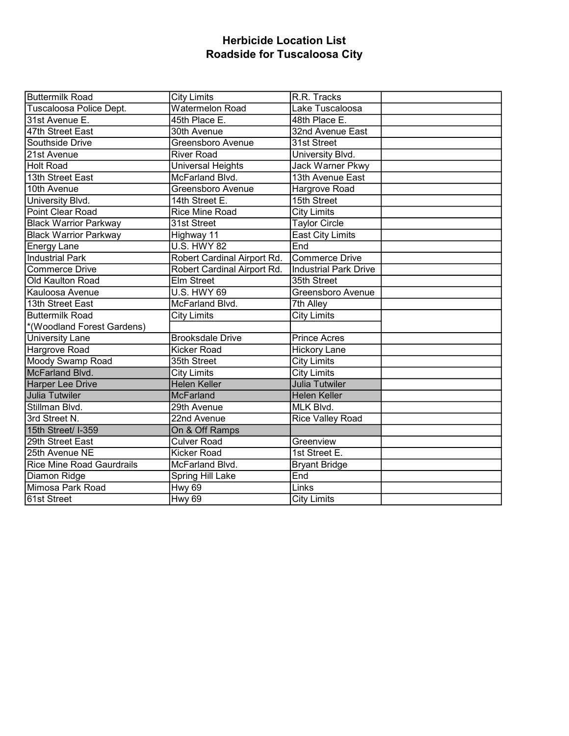## Herbicide Location List Roadside for Tuscaloosa City

| <b>Buttermilk Road</b>           | <b>City Limits</b>          | R.R. Tracks                  |  |
|----------------------------------|-----------------------------|------------------------------|--|
| Tuscaloosa Police Dept.          | <b>Watermelon Road</b>      | Lake Tuscaloosa              |  |
| 31st Avenue E.                   | 45th Place E.               | 48th Place E.                |  |
| 47th Street East                 | 30th Avenue                 | 32nd Avenue East             |  |
| Southside Drive                  | Greensboro Avenue           | 31st Street                  |  |
| 21st Avenue                      | <b>River Road</b>           | University Blvd.             |  |
| Holt Road                        | <b>Universal Heights</b>    | Jack Warner Pkwy             |  |
| 13th Street East                 | McFarland Blvd.             | 13th Avenue East             |  |
| 10th Avenue                      | Greensboro Avenue           | <b>Hargrove Road</b>         |  |
| University Blvd.                 | 14th Street E.              | 15th Street                  |  |
| Point Clear Road                 | Rice Mine Road              | <b>City Limits</b>           |  |
| <b>Black Warrior Parkway</b>     | 31st Street                 | <b>Taylor Circle</b>         |  |
| <b>Black Warrior Parkway</b>     | Highway 11                  | East City Limits             |  |
| <b>Energy Lane</b>               | <b>U.S. HWY 82</b>          | End                          |  |
| <b>Industrial Park</b>           | Robert Cardinal Airport Rd. | Commerce Drive               |  |
| <b>Commerce Drive</b>            | Robert Cardinal Airport Rd. | <b>Industrial Park Drive</b> |  |
| Old Kaulton Road                 | <b>Elm Street</b>           | 35th Street                  |  |
| Kauloosa Avenue                  | <b>U.S. HWY 69</b>          | Greensboro Avenue            |  |
| 13th Street East                 | McFarland Blvd.             | 7th Alley                    |  |
| <b>Buttermilk Road</b>           | <b>City Limits</b>          | <b>City Limits</b>           |  |
| *(Woodland Forest Gardens)       |                             |                              |  |
| <b>University Lane</b>           | <b>Brooksdale Drive</b>     | <b>Prince Acres</b>          |  |
| Hargrove Road                    | <b>Kicker Road</b>          | <b>Hickory Lane</b>          |  |
| Moody Swamp Road                 | 35th Street                 | <b>City Limits</b>           |  |
| McFarland Blvd.                  | <b>City Limits</b>          | <b>City Limits</b>           |  |
| <b>Harper Lee Drive</b>          | Helen Keller                | Julia Tutwiler               |  |
| Julia Tutwiler                   | <b>McFarland</b>            | <b>Helen Keller</b>          |  |
| Stillman Blvd.                   | 29th Avenue                 | MLK Blvd.                    |  |
| 3rd Street N.                    | 22nd Avenue                 | Rice Valley Road             |  |
| 15th Street/ I-359               | On & Off Ramps              |                              |  |
| 29th Street East                 | <b>Culver Road</b>          | Greenview                    |  |
| 25th Avenue NE                   | Kicker Road                 | 1st Street E.                |  |
| <b>Rice Mine Road Gaurdrails</b> | McFarland Blvd.             | <b>Bryant Bridge</b>         |  |
| Diamon Ridge                     | Spring Hill Lake            | End                          |  |
| Mimosa Park Road                 | <b>Hwy 69</b>               | Links                        |  |
| 61st Street                      | <b>Hwy 69</b>               | <b>City Limits</b>           |  |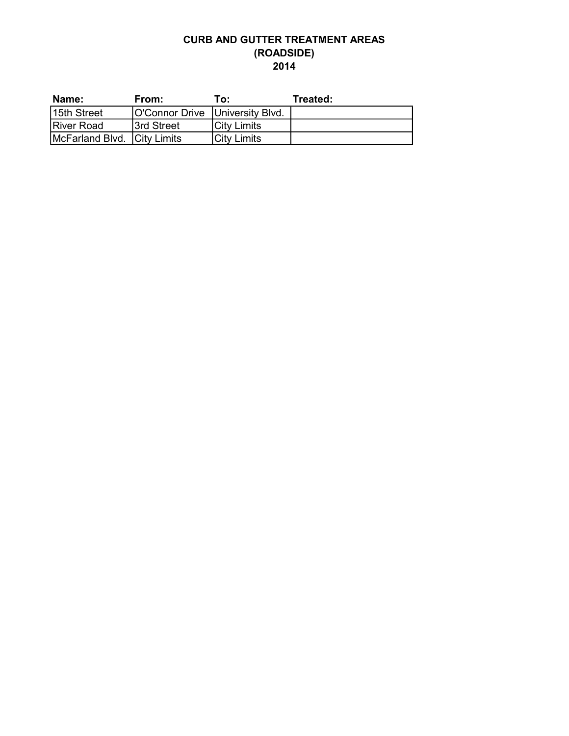### CURB AND GUTTER TREATMENT AREAS (ROADSIDE) 2014

| Name:                       | From:                             | To:         | Treated: |
|-----------------------------|-----------------------------------|-------------|----------|
| 15th Street                 | O'Connor Drive   University Blvd. |             |          |
| <b>River Road</b>           | <b>Street</b>                     | City Limits |          |
| McFarland Blvd. City Limits |                                   | City Limits |          |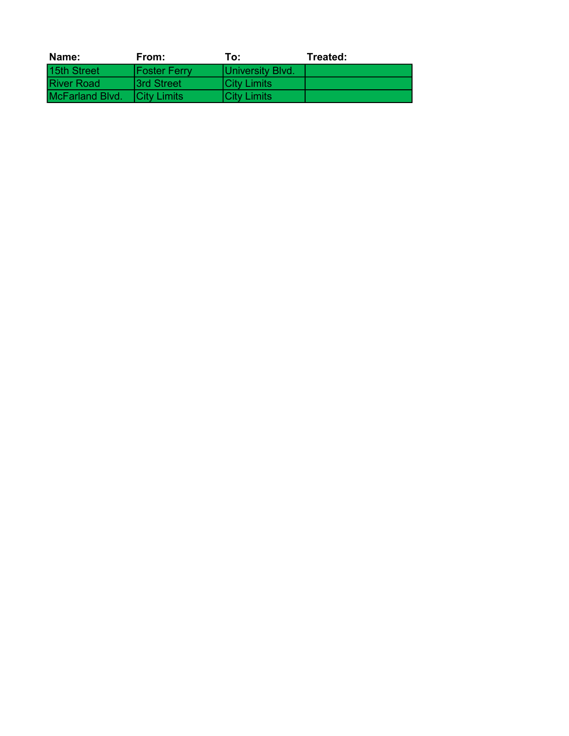| Name:                  | From:               | To:                 | Treated: |
|------------------------|---------------------|---------------------|----------|
| 15th Street            | <b>Foster Ferry</b> | University Blvd.    |          |
| <b>River Road</b>      | <b>3rd Street</b>   | <b>ICity Limits</b> |          |
| <b>McFarland Blvd.</b> | <b>ICity Limits</b> | <b>ICity Limits</b> |          |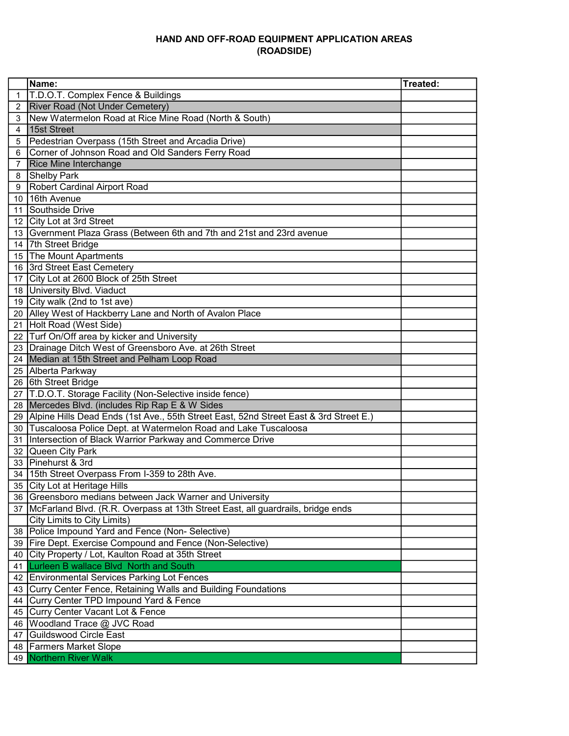#### HAND AND OFF-ROAD EQUIPMENT APPLICATION AREAS (ROADSIDE)

|   | Name:                                                                                    | Treated: |
|---|------------------------------------------------------------------------------------------|----------|
| 1 | T.D.O.T. Complex Fence & Buildings                                                       |          |
| 2 | <b>River Road (Not Under Cemetery)</b>                                                   |          |
| 3 | New Watermelon Road at Rice Mine Road (North & South)                                    |          |
| 4 | 15st Street                                                                              |          |
| 5 | Pedestrian Overpass (15th Street and Arcadia Drive)                                      |          |
| 6 | Corner of Johnson Road and Old Sanders Ferry Road                                        |          |
| 7 | <b>Rice Mine Interchange</b>                                                             |          |
| 8 | Shelby Park                                                                              |          |
| 9 | <b>Robert Cardinal Airport Road</b>                                                      |          |
|   | 10 16th Avenue                                                                           |          |
|   | 11 Southside Drive                                                                       |          |
|   | 12 City Lot at 3rd Street                                                                |          |
|   | 13 Gvernment Plaza Grass (Between 6th and 7th and 21st and 23rd avenue                   |          |
|   | 14 7th Street Bridge                                                                     |          |
|   | 15 The Mount Apartments                                                                  |          |
|   | 16 3rd Street East Cemetery                                                              |          |
|   | 17 City Lot at 2600 Block of 25th Street                                                 |          |
|   | 18 University Blvd. Viaduct                                                              |          |
|   | 19 City walk (2nd to 1st ave)                                                            |          |
|   | 20   Alley West of Hackberry Lane and North of Avalon Place                              |          |
|   | 21 Holt Road (West Side)                                                                 |          |
|   | 22 Turf On/Off area by kicker and University                                             |          |
|   | 23 Drainage Ditch West of Greensboro Ave. at 26th Street                                 |          |
|   | 24 Median at 15th Street and Pelham Loop Road                                            |          |
|   | 25 Alberta Parkway                                                                       |          |
|   | 26 6th Street Bridge                                                                     |          |
|   | 27 T.D.O.T. Storage Facility (Non-Selective inside fence)                                |          |
|   | 28 Mercedes Blvd. (includes Rip Rap E & W Sides                                          |          |
|   | 29 Alpine Hills Dead Ends (1st Ave., 55th Street East, 52nd Street East & 3rd Street E.) |          |
|   | 30   Tuscaloosa Police Dept. at Watermelon Road and Lake Tuscaloosa                      |          |
|   | 31 Intersection of Black Warrior Parkway and Commerce Drive                              |          |
|   | 32 Queen City Park                                                                       |          |
|   | 33 Pinehurst & 3rd                                                                       |          |
|   | 34   15th Street Overpass From I-359 to 28th Ave.                                        |          |
|   | 35 City Lot at Heritage Hills                                                            |          |
|   | 36 Greensboro medians between Jack Warner and University                                 |          |
|   | 37   McFarland Blvd. (R.R. Overpass at 13th Street East, all guardrails, bridge ends     |          |
|   | City Limits to City Limits)                                                              |          |
|   | 38 Police Impound Yard and Fence (Non-Selective)                                         |          |
|   | 39 Fire Dept. Exercise Compound and Fence (Non-Selective)                                |          |
|   | 40 City Property / Lot, Kaulton Road at 35th Street                                      |          |
|   | 41 Lurleen B wallace Blvd North and South                                                |          |
|   | 42 Environmental Services Parking Lot Fences                                             |          |
|   | 43 Curry Center Fence, Retaining Walls and Building Foundations                          |          |
|   | 44 Curry Center TPD Impound Yard & Fence                                                 |          |
|   | 45 Curry Center Vacant Lot & Fence                                                       |          |
|   | 46 Woodland Trace @ JVC Road                                                             |          |
|   | 47 Guildswood Circle East                                                                |          |
|   | 48   Farmers Market Slope                                                                |          |
|   | 49 Northern River Walk                                                                   |          |